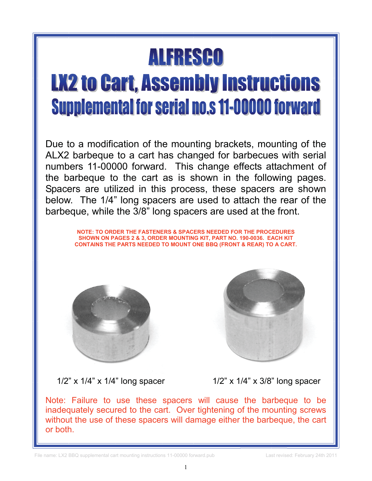## ALFRESCO

## **LX2 to Cart, Assembly Instructions Supplemental for serial no.s 11-00000 forward**

Due to a modification of the mounting brackets, mounting of the ALX2 barbeque to a cart has changed for barbecues with serial numbers 11-00000 forward. This change effects attachment of the barbeque to the cart as is shown in the following pages. Spacers are utilized in this process, these spacers are shown below. The 1/4" long spacers are used to attach the rear of the barbeque, while the 3/8" long spacers are used at the front.

> **NOTE: TO ORDER THE FASTENERS & SPACERS NEEDED FOR THE PROCEDURES SHOWN ON PAGES 2 & 3, ORDER MOUNTING KIT, PART NO. 190-0036. EACH KIT CONTAINS THE PARTS NEEDED TO MOUNT ONE BBQ (FRONT & REAR) TO A CART.**





1/2" x  $1/4$ " x  $1/4$ " long spacer  $1/2$ " x  $1/4$ " x  $3/8$ " long spacer

Note: Failure to use these spacers will cause the barbeque to be inadequately secured to the cart. Over tightening of the mounting screws without the use of these spacers will damage either the barbeque, the cart or both.

File name: LX2 BBQ supplemental cart mounting instructions 11-00000 forward.pub Last revised: February 24th 2011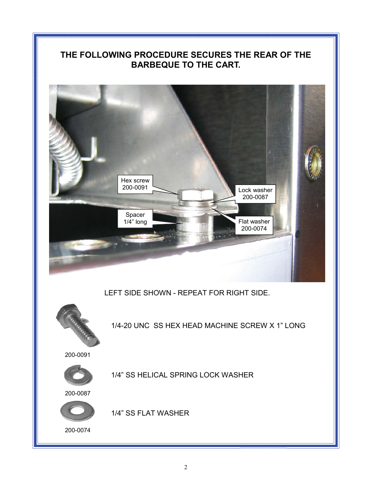## **THE FOLLOWING PROCEDURE SECURES THE REAR OF THE BARBEQUE TO THE CART.**



LEFT SIDE SHOWN - REPEAT FOR RIGHT SIDE.



1/4-20 UNC SS HEX HEAD MACHINE SCREW X 1" LONG

200-0091



1/4" SS HELICAL SPRING LOCK WASHER

200-0087



1/4" SS FLAT WASHER

200-0074